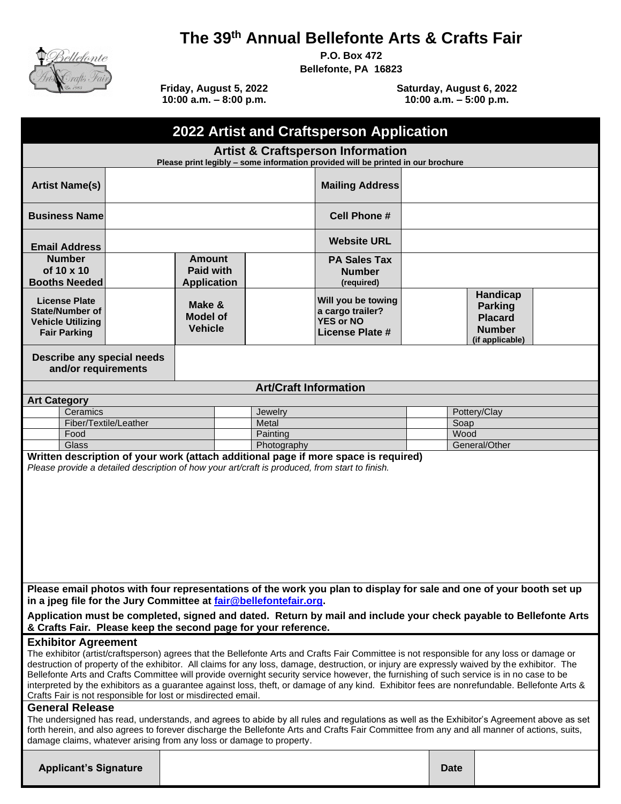

# **The 39 th Annual Bellefonte Arts & Crafts Fair**

**P.O. Box 472** 

**Bellefonte, PA 16823**

**Friday, August 5, 2022 10:00 a.m. – 8:00 p.m.**

**Saturday, August 6, 2022 10:00 a.m. – 5:00 p.m.**

| 2022 Artist and Craftsperson Application                                                                                                                                                                                                                                                                                                                                                                                                                                                                                                                                                                                                                                              |  |                                             |                                                         |                              |                                                                                      |                                                                                  |      |  |
|---------------------------------------------------------------------------------------------------------------------------------------------------------------------------------------------------------------------------------------------------------------------------------------------------------------------------------------------------------------------------------------------------------------------------------------------------------------------------------------------------------------------------------------------------------------------------------------------------------------------------------------------------------------------------------------|--|---------------------------------------------|---------------------------------------------------------|------------------------------|--------------------------------------------------------------------------------------|----------------------------------------------------------------------------------|------|--|
| <b>Artist &amp; Craftsperson Information</b><br>Please print legibly - some information provided will be printed in our brochure                                                                                                                                                                                                                                                                                                                                                                                                                                                                                                                                                      |  |                                             |                                                         |                              |                                                                                      |                                                                                  |      |  |
| <b>Artist Name(s)</b>                                                                                                                                                                                                                                                                                                                                                                                                                                                                                                                                                                                                                                                                 |  |                                             |                                                         | <b>Mailing Address</b>       |                                                                                      |                                                                                  |      |  |
| <b>Business Name</b>                                                                                                                                                                                                                                                                                                                                                                                                                                                                                                                                                                                                                                                                  |  |                                             |                                                         | <b>Cell Phone #</b>          |                                                                                      |                                                                                  |      |  |
| <b>Email Address</b>                                                                                                                                                                                                                                                                                                                                                                                                                                                                                                                                                                                                                                                                  |  |                                             |                                                         | <b>Website URL</b>           |                                                                                      |                                                                                  |      |  |
| <b>Number</b><br>of 10 x 10<br><b>Booths Needed</b>                                                                                                                                                                                                                                                                                                                                                                                                                                                                                                                                                                                                                                   |  |                                             | <b>Amount</b><br><b>Paid with</b><br><b>Application</b> |                              | <b>PA Sales Tax</b><br><b>Number</b><br>(required)                                   |                                                                                  |      |  |
| <b>License Plate</b><br><b>State/Number of</b><br><b>Vehicle Utilizing</b><br><b>Fair Parking</b>                                                                                                                                                                                                                                                                                                                                                                                                                                                                                                                                                                                     |  | Make &<br><b>Model of</b><br><b>Vehicle</b> |                                                         |                              | Will you be towing<br>a cargo trailer?<br><b>YES or NO</b><br><b>License Plate #</b> | Handicap<br><b>Parking</b><br><b>Placard</b><br><b>Number</b><br>(if applicable) |      |  |
| Describe any special needs<br>and/or requirements                                                                                                                                                                                                                                                                                                                                                                                                                                                                                                                                                                                                                                     |  |                                             |                                                         |                              |                                                                                      |                                                                                  |      |  |
|                                                                                                                                                                                                                                                                                                                                                                                                                                                                                                                                                                                                                                                                                       |  |                                             |                                                         | <b>Art/Craft Information</b> |                                                                                      |                                                                                  |      |  |
| <b>Art Category</b>                                                                                                                                                                                                                                                                                                                                                                                                                                                                                                                                                                                                                                                                   |  |                                             |                                                         |                              |                                                                                      |                                                                                  |      |  |
| Ceramics                                                                                                                                                                                                                                                                                                                                                                                                                                                                                                                                                                                                                                                                              |  | Jewelry                                     |                                                         |                              |                                                                                      | Pottery/Clay                                                                     |      |  |
| Fiber/Textile/Leather                                                                                                                                                                                                                                                                                                                                                                                                                                                                                                                                                                                                                                                                 |  |                                             |                                                         |                              | Metal                                                                                |                                                                                  | Soap |  |
| Food                                                                                                                                                                                                                                                                                                                                                                                                                                                                                                                                                                                                                                                                                  |  |                                             | Painting                                                |                              |                                                                                      | Wood                                                                             |      |  |
| General/Other<br>Glass<br>Photography<br>Written description of your work (attach additional page if more space is required)                                                                                                                                                                                                                                                                                                                                                                                                                                                                                                                                                          |  |                                             |                                                         |                              |                                                                                      |                                                                                  |      |  |
| Please provide a detailed description of how your art/craft is produced, from start to finish.                                                                                                                                                                                                                                                                                                                                                                                                                                                                                                                                                                                        |  |                                             |                                                         |                              |                                                                                      |                                                                                  |      |  |
| Please email photos with four representations of the work you plan to display for sale and one of your booth set up<br>in a jpeg file for the Jury Committee at fair@bellefontefair.org.                                                                                                                                                                                                                                                                                                                                                                                                                                                                                              |  |                                             |                                                         |                              |                                                                                      |                                                                                  |      |  |
| Application must be completed, signed and dated. Return by mail and include your check payable to Bellefonte Arts<br>& Crafts Fair. Please keep the second page for your reference.                                                                                                                                                                                                                                                                                                                                                                                                                                                                                                   |  |                                             |                                                         |                              |                                                                                      |                                                                                  |      |  |
| <b>Exhibitor Agreement</b><br>The exhibitor (artist/craftsperson) agrees that the Bellefonte Arts and Crafts Fair Committee is not responsible for any loss or damage or<br>destruction of property of the exhibitor. All claims for any loss, damage, destruction, or injury are expressly waived by the exhibitor. The<br>Bellefonte Arts and Crafts Committee will provide overnight security service however, the furnishing of such service is in no case to be<br>interpreted by the exhibitors as a guarantee against loss, theft, or damage of any kind. Exhibitor fees are nonrefundable. Bellefonte Arts &<br>Crafts Fair is not responsible for lost or misdirected email. |  |                                             |                                                         |                              |                                                                                      |                                                                                  |      |  |
| <b>General Release</b><br>The undersigned has read, understands, and agrees to abide by all rules and regulations as well as the Exhibitor's Agreement above as set<br>forth herein, and also agrees to forever discharge the Bellefonte Arts and Crafts Fair Committee from any and all manner of actions, suits,<br>damage claims, whatever arising from any loss or damage to property.                                                                                                                                                                                                                                                                                            |  |                                             |                                                         |                              |                                                                                      |                                                                                  |      |  |
|                                                                                                                                                                                                                                                                                                                                                                                                                                                                                                                                                                                                                                                                                       |  |                                             |                                                         |                              |                                                                                      |                                                                                  |      |  |

**Applicant's Signature Date**